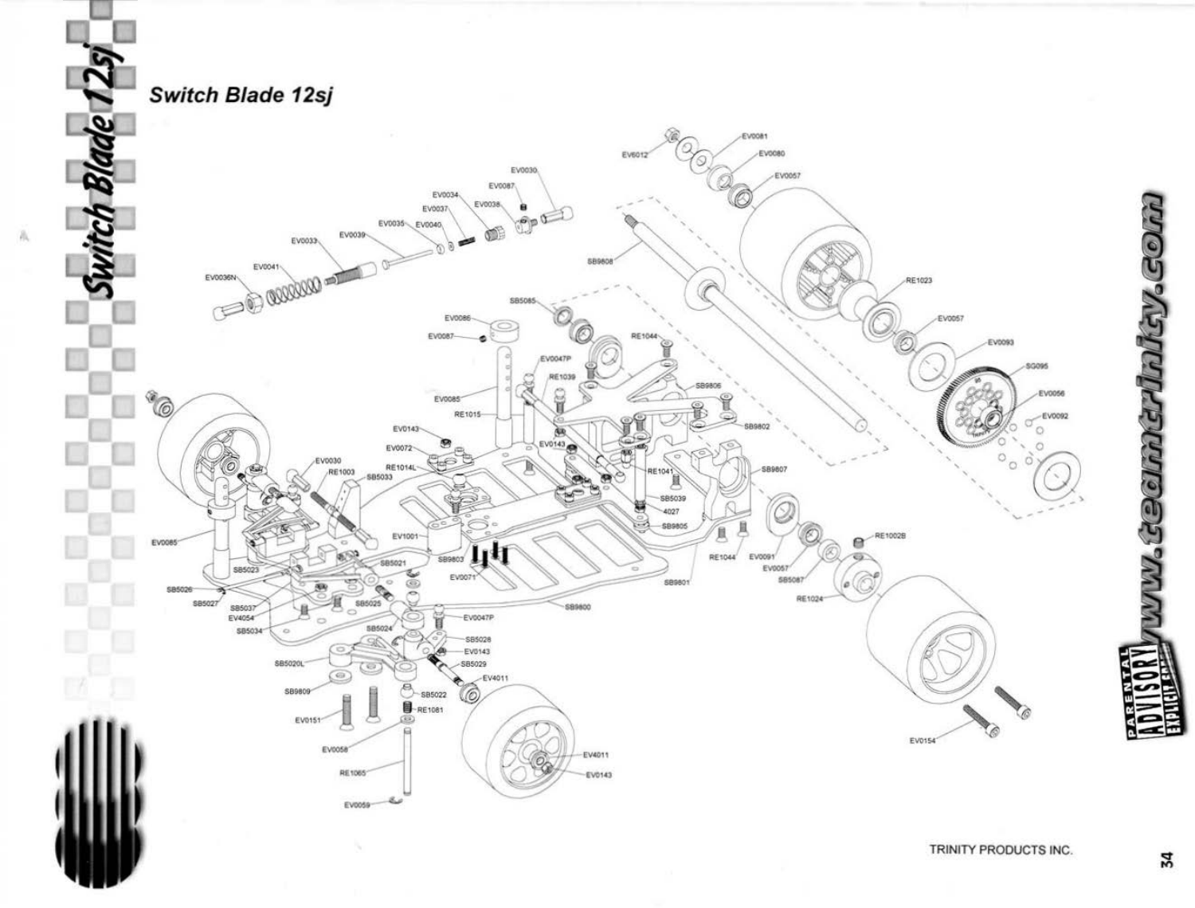

瓜